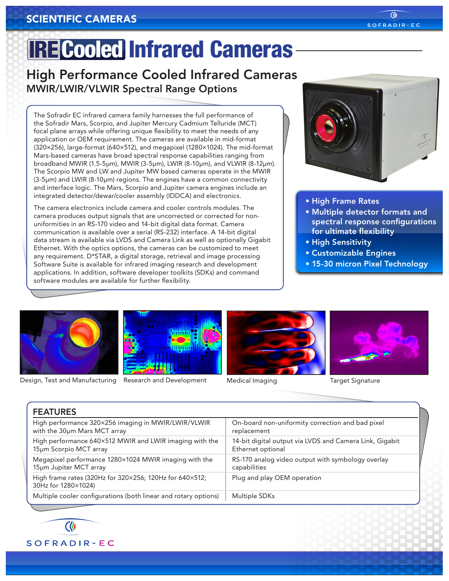### IRE Cooled Infrared Cameras

High Performance Cooled Infrared Cameras MWIR/LWIR/VLWIR Spectral Range Options

The Sofradir EC infrared camera family harnesses the full performance of the Sofradir Mars, Scorpio, and Jupiter Mercury Cadmium Telluride (MCT) focal plane arrays while offering unique flexibility to meet the needs of any application or OEM requirement. The cameras are available in mid-format (320×256), large-format (640×512), and megapixel (1280×1024). The mid-format Mars-based cameras have broad spectral response capabilities ranging from broadband MWIR (1.5-5μm), MWIR (3-5μm), LWIR (8-10μm), and VLWIR (8-12μm). The Scorpio MW and LW and Jupiter MW based cameras operate in the MWIR (3-5μm) and LWIR (8-10μm) regions. The engines have a common connectivity and interface logic. The Mars, Scorpio and Jupiter camera engines include an integrated detector/dewar/cooler assembly (IDDCA) and electronics.

The camera electronics include camera and cooler controls modules. The camera produces output signals that are uncorrected or corrected for nonuniformities in an RS-170 video and 14-bit digital data format. Camera communication is available over a serial (RS-232) interface. A 14-bit digital data stream is available via LVDS and Camera Link as well as optionally Gigabit Ethernet. With the optics options, the cameras can be customized to meet any requirement. D\*STAR, a digital storage, retrieval and image processing Software Suite is available for infrared imaging research and development applications. In addition, software developer toolkits (SDKs) and command software modules are available for further flexibility.



- High Frame Rates
- Multiple detector formats and spectral response configurations for ultimate flexibility
- High Sensitivity
- Customizable Engines
- 15-30 micron Pixel Technology



Design, Test and Manufacturing Research and Development Medical Imaging Target Signature







| <b>FEATURES</b>                                                                |                                                         |
|--------------------------------------------------------------------------------|---------------------------------------------------------|
| High performance 320×256 imaging in MWIR/LWIR/VLWIR                            | On-board non-uniformity correction and bad pixel        |
| with the 30um Mars MCT array                                                   | replacement                                             |
| High performance 640×512 MWIR and LWIR imaging with the                        | 14-bit digital output via LVDS and Camera Link, Gigabit |
| 15µm Scorpio MCT array                                                         | Ethernet optional                                       |
| Megapixel performance 1280×1024 MWIR imaging with the                          | RS-170 analog video output with symbology overlay       |
| 15µm Jupiter MCT array                                                         | capabilities                                            |
| High frame rates (320Hz for 320×256; 120Hz for 640×512;<br>30Hz for 1280×1024) | Plug and play OEM operation                             |
| Multiple cooler configurations (both linear and rotary options)                | Multiple SDKs                                           |



SOFRADIR-EC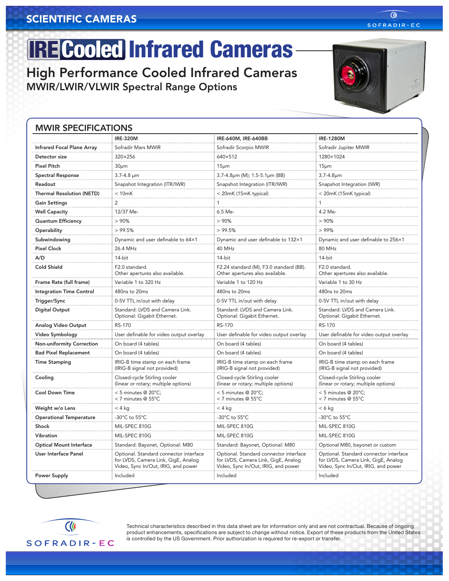# **IRE Cooled Infrared Cameras-**

High Performance Cooled Infrared Cameras MWIR/LWIR/VLWIR Spectral Range Options

#### MWIR SPECIFICATIONS

|                                  | <b>IRE-320M</b>                                                                                                      | IRE-640M, IRE-640BB                                                                                                  | <b>IRE-1280M</b>                                                                                                     |
|----------------------------------|----------------------------------------------------------------------------------------------------------------------|----------------------------------------------------------------------------------------------------------------------|----------------------------------------------------------------------------------------------------------------------|
| Infrared Focal Plane Array       | Sofradir Mars MWIR                                                                                                   | Sofradir Scorpio MWIR                                                                                                | Sofradir Jupiter MWIR                                                                                                |
| Detector size                    | 320×256                                                                                                              | 640×512                                                                                                              | 1280×1024                                                                                                            |
| <b>Pixel Pitch</b>               | 30 <sub>µ</sub> m                                                                                                    | 15 <sub>µm</sub>                                                                                                     | 15 <sub>µm</sub>                                                                                                     |
| <b>Spectral Response</b>         | $3.7 - 4.8 \mu m$                                                                                                    | 3.7-4.8µm (M); 1.5-5.1µm (BB)                                                                                        | $3.7 - 4.8 \mu m$                                                                                                    |
| Readout                          | Snapshot Integration (ITR/IWR)                                                                                       | Snapshot Integration (ITR/IWR)                                                                                       | Snapshot Integration (IWR)                                                                                           |
| <b>Thermal Resolution (NETD)</b> | < 10mK                                                                                                               | < 20mK (15mK typical)                                                                                                | < 20mK (15mK typical)                                                                                                |
| <b>Gain Settings</b>             | 2                                                                                                                    |                                                                                                                      |                                                                                                                      |
| <b>Well Capacity</b>             | 12/37 Me-                                                                                                            | 6.5 Me-                                                                                                              | 4.2 Me-                                                                                                              |
| <b>Quantum Efficiency</b>        | >90%                                                                                                                 | >90%                                                                                                                 | >90%                                                                                                                 |
| Operability                      | >99.5%                                                                                                               | >99.5%                                                                                                               | >99%                                                                                                                 |
| Subwindowing                     | Dynamic and user definable to 64×1                                                                                   | Dynamic and user definable to 132×1                                                                                  | Dynamic and user definable to 256×1                                                                                  |
| <b>Pixel Clock</b>               | 26.4 MHz                                                                                                             | 40 MHz                                                                                                               | 80 MHz                                                                                                               |
| A/D                              | 14-bit                                                                                                               | 14-bit                                                                                                               | 14-bit                                                                                                               |
| Cold Shield                      | F2.0 standard.<br>Other apertures also available.                                                                    | F2.24 standard (M), F3.0 standard (BB).<br>Other apertures also available.                                           | F2.0 standard.<br>Other apertures also available.                                                                    |
| Frame Rate (full frame)          | Variable 1 to 320 Hz                                                                                                 | Variable 1 to 120 Hz                                                                                                 | Variable 1 to 30 Hz                                                                                                  |
| <b>Integration Time Control</b>  | 480ns to 20ms                                                                                                        | 480ns to 20ms                                                                                                        | 480ns to 20ms                                                                                                        |
| Trigger/Sync                     | 0-5V TTL in/out with delay                                                                                           | 0-5V TTL in/out with delay                                                                                           | 0-5V TTL in/out with delay                                                                                           |
| <b>Digital Output</b>            | Standard: LVDS and Camera Link.<br>Optional: Gigabit Ethernet.                                                       | Standard: LVDS and Camera Link.<br>Optional: Gigabit Ethernet.                                                       | Standard: LVDS and Camera Link.<br>Optional: Gigabit Ethernet.                                                       |
| Analog Video Output              | RS-170                                                                                                               | RS-170                                                                                                               | RS-170                                                                                                               |
| Video Symbology                  | User definable for video output overlay                                                                              | User definable for video output overlay                                                                              | User definable for video output overlay                                                                              |
| Non-uniformity Correction        | On board (4 tables)                                                                                                  | On board (4 tables)                                                                                                  | On board (4 tables)                                                                                                  |
| <b>Bad Pixel Replacement</b>     | On board (4 tables)                                                                                                  | On board (4 tables)                                                                                                  | On board (4 tables)                                                                                                  |
| <b>Time Stamping</b>             | IRIG-B time stamp on each frame<br>(IRIG-B signal not provided)                                                      | IRIG-B time stamp on each frame<br>(IRIG-B signal not provided)                                                      | IRIG-B time stamp on each frame<br>(IRIG-B signal not provided)                                                      |
| Cooling                          | Closed-cycle Stirling cooler<br>(linear or rotary; multiple options)                                                 | Closed-cycle Stirling cooler<br>(linear or rotary; multiple options)                                                 | Closed-cycle Stirling cooler<br>(linear or rotary; multiple options)                                                 |
| <b>Cool Down Time</b>            | < 5 minutes $@$ 20 $°C$ ;<br>< 7 minutes @ 55°C                                                                      | < 5 minutes @ 20°C;<br>< 7 minutes @ 55°C                                                                            | < 5 minutes @ 20°C;<br>< 7 minutes @ 55°C                                                                            |
| Weight w/o Lens                  | $< 4$ kg                                                                                                             | $< 4$ kg                                                                                                             | $< 6$ kg                                                                                                             |
| <b>Operational Temperature</b>   | -30°C to 55°C                                                                                                        | -30°C to 55°C                                                                                                        | -30°C to 55°C                                                                                                        |
| Shock                            | MIL-SPEC 810G                                                                                                        | MIL-SPEC 810G                                                                                                        | MIL-SPEC 810G                                                                                                        |
| Vibration                        | MIL-SPEC 810G                                                                                                        | MIL-SPEC 810G                                                                                                        | MIL-SPEC 810G                                                                                                        |
| <b>Optical Mount Interface</b>   | Standard: Bayonet, Optional: M80                                                                                     | Standard: Bayonet, Optional: M80                                                                                     | Optional M80, bayonet or custom                                                                                      |
| User Interface Panel             | Optional. Standard connector interface<br>for LVDS, Camera Link, GigE, Analog<br>Video, Sync In/Out, IRIG, and power | Optional. Standard connector interface<br>for LVDS, Camera Link, GigE, Analog<br>Video, Sync In/Out, IRIG, and power | Optional. Standard connector interface<br>for LVDS, Camera Link, GigE, Analog<br>Video, Sync In/Out, IRIG, and power |
| <b>Power Supply</b>              | Included                                                                                                             | Included                                                                                                             | Included                                                                                                             |

Technical characteristics described in this data sheet are for information only and are not contractual. Because of ongoing product enhancements, specifications are subject to change without notice. Export of these products from the United States is controlled by the US Government. Prior authorization is required for re-export or transfer.



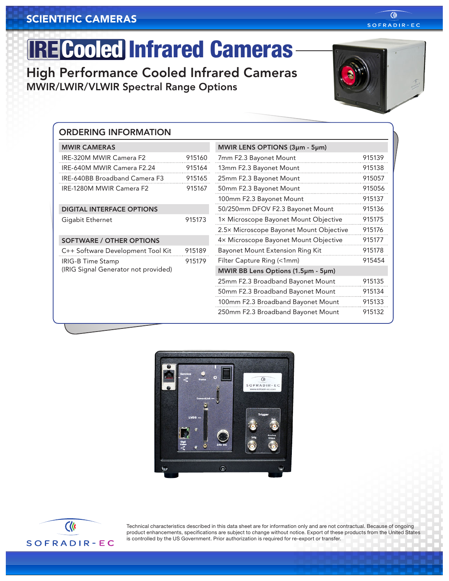# **IRE Cooled Infrared Cameras-**

High Performance Cooled Infrared Cameras MWIR/LWIR/VLWIR Spectral Range Options



| <b>MWIR CAMERAS</b>                  |        | MWIR LENS OPTIONS (3µm - 5µm)           |        |
|--------------------------------------|--------|-----------------------------------------|--------|
| IRE-320M MWIR Camera F2              | 915160 | 7mm F2.3 Bayonet Mount                  | 915139 |
| IRE-640M MWIR Camera F2.24           | 915164 | 13mm F2.3 Bayonet Mount                 | 915138 |
| IRE-640BB Broadband Camera F3        | 915165 | 25mm F2.3 Bayonet Mount                 | 915057 |
| IRE-1280M MWIR Camera F2             | 915167 | 50mm F2.3 Bayonet Mount                 | 915056 |
|                                      |        | 100mm F2.3 Bayonet Mount                | 915137 |
| <b>DIGITAL INTERFACE OPTIONS</b>     |        | 50/250mm DFOV F2.3 Bayonet Mount        | 915136 |
| Gigabit Ethernet                     | 915173 | 1× Microscope Bayonet Mount Objective   | 915175 |
|                                      |        | 2.5× Microscope Bayonet Mount Objective | 915176 |
| <b>SOFTWARE / OTHER OPTIONS</b>      |        | 4x Microscope Bayonet Mount Objective   | 915177 |
| C++ Software Development Tool Kit    | 915189 | Bayonet Mount Extension Ring Kit        | 915178 |
| <b>IRIG-B Time Stamp</b>             | 915179 | Filter Capture Ring (<1mm)              | 915454 |
| (IRIG Signal Generator not provided) |        | MWIR BB Lens Options (1.5µm - 5µm)      |        |
|                                      |        | 25mm F2.3 Broadband Bayonet Mount       | 915135 |
|                                      |        | 50mm F2.3 Broadband Bayonet Mount       | 915134 |
|                                      |        | 100mm F2.3 Broadband Bayonet Mount      | 915133 |
|                                      |        | 250mm F2.3 Broadband Bayonet Mount      | 915132 |





Technical characteristics described in this data sheet are for information only and are not contractual. Because of ongoing product enhancements, specifications are subject to change without notice. Export of these products from the United States is controlled by the US Government. Prior authorization is required for re-export or transfer.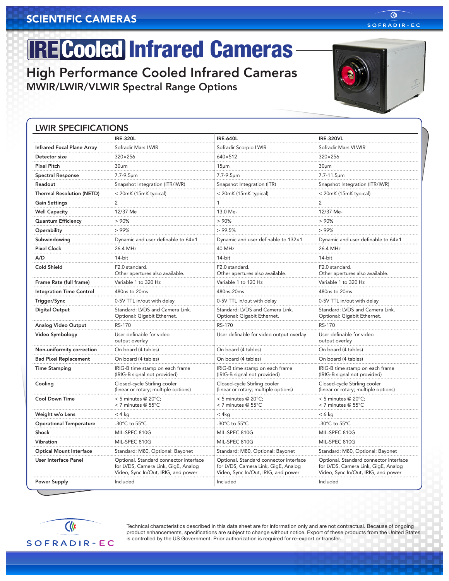# **IRE Cooled Infrared Cameras-**

High Performance Cooled Infrared Cameras MWIR/LWIR/VLWIR Spectral Range Options

#### LWIR SPECIFICATIONS

|                                   | <b>IRE-320L</b>                                                                                                      | <b>IRE-640L</b>                                                                                                      | <b>IRE-320VL</b>                                                                                                     |
|-----------------------------------|----------------------------------------------------------------------------------------------------------------------|----------------------------------------------------------------------------------------------------------------------|----------------------------------------------------------------------------------------------------------------------|
| <b>Infrared Focal Plane Array</b> | Sofradir Mars LWIR                                                                                                   | Sofradir Scorpio LWIR                                                                                                | Sofradir Mars VLWIR                                                                                                  |
| Detector size                     | 320×256                                                                                                              | 640×512                                                                                                              | 320×256                                                                                                              |
| <b>Pixel Pitch</b>                | 30 <sub>µ</sub> m                                                                                                    | 15 <sub>µm</sub>                                                                                                     | 30 <sub>µ</sub> m                                                                                                    |
| <b>Spectral Response</b>          | 7.7-9.5um                                                                                                            | 7.7-9.5um                                                                                                            | 7.7-11.5um                                                                                                           |
| Readout                           | Snapshot Integration (ITR/IWR)                                                                                       | Snapshot Integration (ITR)                                                                                           | Snapshot Integration (ITR/IWR)                                                                                       |
| <b>Thermal Resolution (NETD)</b>  | < 20mK (15mK typical)                                                                                                | < 20mK (15mK typical)                                                                                                | < 20mK (15mK typical)                                                                                                |
| <b>Gain Settings</b>              | 2                                                                                                                    |                                                                                                                      | $\overline{c}$                                                                                                       |
| <b>Well Capacity</b>              | 12/37 Me                                                                                                             | 13.0 Me-                                                                                                             | 12/37 Me-                                                                                                            |
| <b>Quantum Efficiency</b>         | >90%                                                                                                                 | >90%                                                                                                                 | >90%                                                                                                                 |
| Operability                       | >99%                                                                                                                 | >99.5%                                                                                                               | >99%                                                                                                                 |
| Subwindowing                      | Dynamic and user definable to 64×1                                                                                   | Dynamic and user definable to 132×1                                                                                  | Dynamic and user definable to 64×1                                                                                   |
| <b>Pixel Clock</b>                | 26.4 MHz                                                                                                             | 40 MHz                                                                                                               | 26.4 MHz                                                                                                             |
| A/D                               | 14-bit                                                                                                               | 14-bit                                                                                                               | 14-bit                                                                                                               |
| Cold Shield                       | F2.0 standard.<br>Other apertures also available.                                                                    | F2.0 standard.<br>Other apertures also available.                                                                    | F2.0 standard.<br>Other apertures also available.                                                                    |
| Frame Rate (full frame)           | Variable 1 to 320 Hz                                                                                                 | Variable 1 to 120 Hz                                                                                                 | Variable 1 to 320 Hz                                                                                                 |
| <b>Integration Time Control</b>   | 480ns to 20ms                                                                                                        | 480ns-20ms                                                                                                           | 480ns to 20ms                                                                                                        |
| Trigger/Sync                      | 0-5V TTL in/out with delay                                                                                           | 0-5V TTL in/out with delay                                                                                           | 0-5V TTL in/out with delay                                                                                           |
| <b>Digital Output</b>             | Standard: LVDS and Camera Link.<br>Optional: Gigabit Ethernet.                                                       | Standard: LVDS and Camera Link.<br>Optional: Gigabit Ethernet.                                                       | Standard: LVDS and Camera Link.<br>Optional: Gigabit Ethernet.                                                       |
| Analog Video Output               | RS-170                                                                                                               | RS-170                                                                                                               | <b>RS-170</b>                                                                                                        |
| Video Symbology                   | User definable for video<br>output overlay                                                                           | User definable for video output overlay                                                                              | User definable for video<br>output overlay                                                                           |
| Non-uniformity correction         | On board (4 tables)                                                                                                  | On board (4 tables)                                                                                                  | On board (4 tables)                                                                                                  |
| <b>Bad Pixel Replacement</b>      | On board (4 tables)                                                                                                  | On board (4 tables)                                                                                                  | On board (4 tables)                                                                                                  |
| <b>Time Stamping</b>              | IRIG-B time stamp on each frame<br>(IRIG-B signal not provided)                                                      | IRIG-B time stamp on each frame<br>(IRIG-B signal not provided)                                                      | IRIG-B time stamp on each frame<br>(IRIG-B signal not provided)                                                      |
| Cooling                           | Closed-cycle Stirling cooler<br>(linear or rotary; multiple options)                                                 | Closed-cycle Stirling cooler<br>(linear or rotary; multiple options)                                                 | Closed-cycle Stirling cooler<br>(linear or rotary; multiple options)                                                 |
| <b>Cool Down Time</b>             | $<$ 5 minutes @ 20°C;<br>< 7 minutes @ 55°C                                                                          | < 5 minutes @ 20°C;<br>< 7 minutes @ 55°C                                                                            | $< 5$ minutes @ 20 $^{\circ}$ C;<br>< 7 minutes @ 55°C                                                               |
| Weight w/o Lens                   | $< 4$ kg                                                                                                             | < 4kq                                                                                                                | $< 6$ kg                                                                                                             |
| <b>Operational Temperature</b>    | -30°C to 55°C                                                                                                        | -30°C to 55°C                                                                                                        | -30 $^{\circ}$ C to 55 $^{\circ}$ C                                                                                  |
| Shock                             | MIL-SPEC 810G                                                                                                        | MIL-SPEC 810G                                                                                                        | MIL-SPEC 810G                                                                                                        |
| Vibration                         | MIL-SPEC 810G                                                                                                        | MIL-SPEC 810G                                                                                                        | MIL-SPEC 810G                                                                                                        |
| <b>Optical Mount Interface</b>    | Standard: M80, Optional: Bayonet                                                                                     | Standard: M80, Optional: Bayonet                                                                                     | Standard: M80, Optional: Bayonet                                                                                     |
| User Interface Panel              | Optional. Standard connector interface<br>for LVDS, Camera Link, GigE, Analog<br>Video, Sync In/Out, IRIG, and power | Optional. Standard connector interface<br>for LVDS, Camera Link, GigE, Analog<br>Video, Sync In/Out, IRIG, and power | Optional. Standard connector interface<br>for LVDS, Camera Link, GigE, Analog<br>Video, Sync In/Out, IRIG, and power |
| <b>Power Supply</b>               | Included                                                                                                             | Included                                                                                                             | Included                                                                                                             |

Technical characteristics described in this data sheet are for information only and are not contractual. Because of ongoing product enhancements, specifications are subject to change without notice. Export of these products from the United States is controlled by the US Government. Prior authorization is required for re-export or transfer.



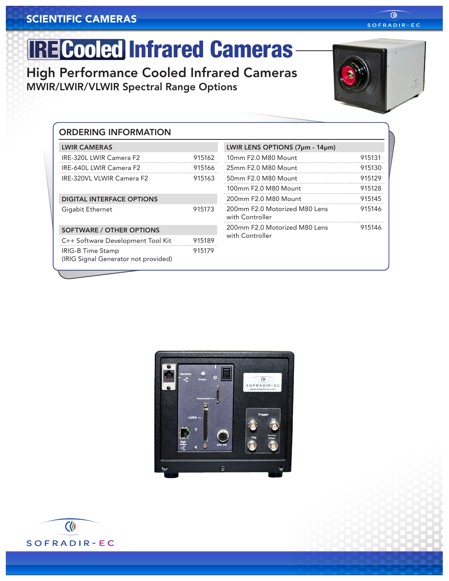# **IRE Cooled Infrared Cameras-**

High Performance Cooled Infrared Cameras MWIR/LWIR/VLWIR Spectral Range Options



Clk SOFRADIR-EC

| <b>ORDERING INFORMATION</b>                                      |        |                                                  |        |
|------------------------------------------------------------------|--------|--------------------------------------------------|--------|
| <b>LWIR CAMERAS</b>                                              |        | LWIR LENS OPTIONS (7µm - 14µm)                   |        |
| IRE-320L LWIR Camera F2                                          | 915162 | 10mm F2.0 M80 Mount                              | 915131 |
| IRE-640L LWIR Camera F2                                          | 915166 | 25mm F2.0 M80 Mount                              | 915130 |
| IRE-320VL VLWIR Camera F2                                        | 915163 | 50mm F2.0 M80 Mount                              | 915129 |
|                                                                  |        | 100mm F2.0 M80 Mount                             | 915128 |
| <b>DIGITAL INTERFACE OPTIONS</b>                                 |        | 200mm F2.0 M80 Mount                             | 915145 |
| Gigabit Ethernet                                                 | 915173 | 200mm F2.0 Motorized M80 Lens<br>with Controller | 915146 |
| <b>SOFTWARE / OTHER OPTIONS</b>                                  |        | 200mm F2.0 Motorized M80 Lens                    | 915146 |
| C++ Software Development Tool Kit                                | 915189 | with Controller                                  |        |
| <b>IRIG-B Time Stamp</b><br>(IRIG Signal Generator not provided) | 915179 |                                                  |        |